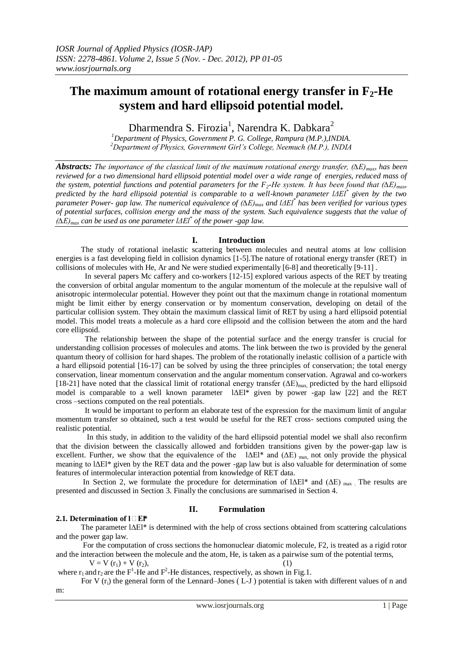# **The maximum amount of rotational energy transfer in F2-He system and hard ellipsoid potential model.**

Dharmendra S. Firozia<sup>1</sup>, Narendra K. Dabkara<sup>2</sup>

*<sup>1</sup>Department of Physics, Government P. G. College, Rampura (M.P.),INDIA. <sup>2</sup>Department of Physics, Government Girl's College, Neemuch (M.P.), INDIA*

*Abstracts: The importance of the classical limit of the maximum rotational energy transfer, (∆E)max, has been reviewed for a two dimensional hard ellipsoid potential model over a wide range of energies, reduced mass of the system, potential functions and potential parameters for the F<sub>2</sub>-He system. It has been found that*  $(\Delta E)_{max}$ *predicted by the hard ellipsoid potential is comparable to a well-known parameter lΔEl\* given by the two parameter Power- gap law. The numerical equivalence of (∆E)max and lΔEl\* has been verified for various types of potential surfaces, collision energy and the mass of the system. Such equivalence suggests that the value of (∆E)max can be used as one parameter lΔEl\* of the power -gap law.*

# **I. Introduction**

 The study of rotational inelastic scattering between molecules and neutral atoms at low collision energies is a fast developing field in collision dynamics [1-5].The nature of rotational energy transfer (RET) in collisions of molecules with He, Ar and Ne were studied experimentally [6-8] and theoretically [9-11] .

 In several papers Mc caffery and co-workers [12-15] explored various aspects of the RET by treating the conversion of orbital angular momentum to the angular momentum of the molecule at the repulsive wall of anisotropic intermolecular potential. However they point out that the maximum change in rotational momentum might be limit either by energy conservation or by momentum conservation, developing on detail of the particular collision system. They obtain the maximum classical limit of RET by using a hard ellipsoid potential model. This model treats a molecule as a hard core ellipsoid and the collision between the atom and the hard core ellipsoid.

 The relationship between the shape of the potential surface and the energy transfer is crucial for understanding collision processes of molecules and atoms. The link between the two is provided by the general quantum theory of collision for hard shapes. The problem of the rotationally inelastic collision of a particle with a hard ellipsoid potential [16-17] can be solved by using the three principles of conservation; the total energy conservation, linear momentum conservation and the angular momentum conservation. Agrawal and co-workers [18-21] have noted that the classical limit of rotational energy transfer  $(\Delta E)_{\text{max}}$ , predicted by the hard ellipsoid model is comparable to a well known parameter lΔEl\* given by power -gap law [22] and the RET cross –sections computed on the real potentials.

 It would be important to perform an elaborate test of the expression for the maximum limit of angular momentum transfer so obtained, such a test would be useful for the RET cross- sections computed using the realistic potential.

 In this study, in addition to the validity of the hard ellipsoid potential model we shall also reconfirm that the division between the classically allowed and forbidden transitions given by the power-gap law is excellent. Further, we show that the equivalence of the  $|\Delta E|^*$  and  $(\Delta E)_{max}$  not only provide the physical meaning to lΔEl\* given by the RET data and the power -gap law but is also valuable for determination of some features of intermolecular interaction potential from knowledge of RET data.

In Section 2, we formulate the procedure for determination of  $|\Delta E|^*$  and  $(\Delta E)$  max. The results are presented and discussed in Section 3. Finally the conclusions are summarised in Section 4.

# **2.1. Determination of l**□EI\*

# **II. Formulation**

 The parameter lΔEl\* is determined with the help of cross sections obtained from scattering calculations and the power gap law.

 For the computation of cross sections the homonuclear diatomic molecule, F2, is treated as a rigid rotor and the interaction between the molecule and the atom, He, is taken as a pairwise sum of the potential terms,

 $V = V (r_1) + V (r_2),$  (1)

where  $r_1$  and  $r_2$  are the F<sup>1</sup>-He and F<sup>2</sup>-He distances, respectively, as shown in Fig.1.

For V  $(r_i)$  the general form of the Lennard–Jones (L-J) potential is taken with different values of n and m: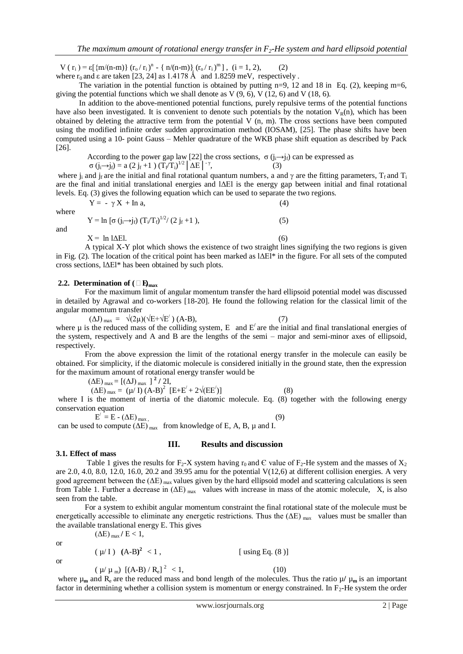V (r<sub>i</sub>) = ε[{m/(n-m)} (r<sub>o</sub>/r<sub>i</sub>)<sup>n</sup> - { n/(n-m)}<sub>,</sub> (r<sub>o</sub>/r<sub>i</sub>)<sup>m</sup>], (i = 1, 2), (2) where  $r_0$  and  $\epsilon$  are taken [23, 24] as 1.4178 Å and 1.8259 meV, respectively.

The variation in the potential function is obtained by putting  $n=9$ , 12 and 18 in Eq. (2), keeping  $m=6$ , giving the potential functions which we shall denote as V  $(9, 6)$ , V  $(12, 6)$  and V  $(18, 6)$ .

 In addition to the above-mentioned potential functions, purely repulsive terms of the potential functions have also been investigated. It is convenient to denote such potentials by the notation  $V_R(n)$ , which has been obtained by deleting the attractive term from the potential  $V$  (n, m). The cross sections have been computed using the modified infinite order sudden approximation method (IOSAM), [25]. The phase shifts have been computed using a 10- point Gauss – Mehler quadrature of the WKB phase shift equation as described by Pack [26].

According to the power gap law [22] the cross sections,  $\sigma(j_i\rightarrow j_f)$  can be expressed as

 $σ(j_i→j_f) = a (2 j_f +1) (T_f/T_i)^{1/2} |\Delta E|^{-\gamma},$  (3)

where j<sub>i</sub> and j<sub>f</sub> are the initial and final rotational quantum numbers, a and  $\gamma$  are the fitting parameters, T<sub>f</sub> and T<sub>i</sub> are the final and initial translational energies and lΔEl is the energy gap between initial and final rotational levels. Eq. (3) gives the following equation which can be used to separate the two regions.

 $Y = - \gamma X + \ln a$ , (4) where  $Y = \ln \left[ \sigma \left( j_i \rightarrow j_f \right) \left( T_i / T_f \right)^{1/2} / (2 j_f + 1) \right],$  (5)  $X = \ln |\Delta E|$ . (6)

 A typical X-Y plot which shows the existence of two straight lines signifying the two regions is given in Fig. (2). The location of the critical point has been marked as  $|\Delta E|^*$  in the figure. For all sets of the computed cross sections, lΔEl\* has been obtained by such plots.

## **2.2. Determination of**  $(\Box \mathbf{E})_{\text{max}}$

and

 For the maximum limit of angular momentum transfer the hard ellipsoid potential model was discussed in detailed by Agrawal and co-workers [18-20]. He found the following relation for the classical limit of the angular momentum transfer

 $(\Delta J)_{\text{max}} = \sqrt{(2\mu)(\sqrt{E} + \sqrt{E'})}$  (A-B), (7) where  $\mu$  is the reduced mass of the colliding system, E and  $E'$  are the initial and final translational energies of the system, respectively and A and B are the lengths of the semi – major and semi-minor axes of ellipsoid, respectively.

 From the above expression the limit of the rotational energy transfer in the molecule can easily be obtained. For simplicity, if the diatomic molecule is considered initially in the ground state, then the expression for the maximum amount of rotational energy transfer would be

 $(\Delta E)_{\text{max}} = [(\Delta J)_{\text{max}}]^2 / 2I$ 

 $(\Delta E)_{\text{max}} = (\mu / I) (\text{A-B})^2 [E+E' + 2\sqrt{EE'}]$  $(8)$ where I is the moment of inertia of the diatomic molecule. Eq. (8) together with the following energy conservation equation

 $E' = E - (\Delta E)_{max}$  (9)  $E' = E - (\Delta E)_{max}$ . can be used to compute  $(\Delta E)_{max}$  from knowledge of E, A, B,  $\mu$  and I.

## **III. Results and discussion**

## **3.1. Effect of mass**

Table 1 gives the results for  $F_2$ -X system having  $r_0$  and  $C$  value of  $F_2$ -He system and the masses of  $X_2$ are 2.0, 4.0, 8.0, 12.0, 16.0, 20.2 and 39.95 amu for the potential  $V(12,6)$  at different collision energies. A very good agreement between the  $(\Delta E)_{\text{max}}$  values given by the hard ellipsoid model and scattering calculations is seen from Table 1. Further a decrease in  $(\Delta E)_{\text{max}}$  values with increase in mass of the atomic molecule, X, is also seen from the table.

 For a system to exhibit angular momentum constraint the final rotational state of the molecule must be energetically accessible to eliminate any energetic restrictions. Thus the  $(\Delta E)_{\text{max}}$  values must be smaller than the available translational energy E. This gives  $(\Delta E)_{\text{max}}$  /  $E < 1$ ,

or

 $(\mu/I)$   $(A-B)^2 < 1$ ,  $[$  using Eq.  $(8)$ ]

or

$$
(\mu/\mu_{m})[(A-B)/R_{e}]^{2} < 1, \qquad (10)
$$

where  $\mu_m$  and  $R_e$  are the reduced mass and bond length of the molecules. Thus the ratio  $\mu/\mu_m$  is an important factor in determining whether a collision system is momentum or energy constrained. In  $F_2$ -He system the order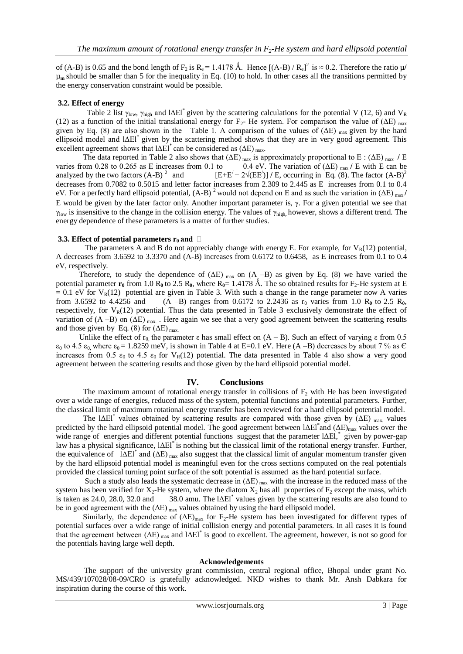of (A-B) is 0.65 and the bond length of  $F_2$  is  $R_e = 1.4178$  Å. Hence  $[(A-B)/R_e]^2$  is  $\approx 0.2$ . Therefore the ratio  $\mu$ /  $\mu_m$  should be smaller than 5 for the inequality in Eq. (10) to hold. In other cases all the transitions permitted by the energy conservation constraint would be possible.

## **3.2. Effect of energy**

Table 2 list  $\gamma_{\text{low}}$ ,  $\gamma_{\text{high}}$  and l $\Delta$ El<sup>\*</sup> given by the scattering calculations for the potential V (12, 6) and V<sub>R</sub> (12) as a function of the initial translational energy for F<sub>2</sub>- He system. For comparison the value of ( $\Delta E$ ) <sub>max</sub> given by Eq. (8) are also shown in the Table 1. A comparison of the values of  $(ΔE)$  max given by the hard ellipsoid model and lΔEl\* given by the scattering method shows that they are in very good agreement. This excellent agreement shows that  $|\Delta E|^{*}$  can be considered as  $(\Delta E)$  max.

The data reported in Table 2 also shows that  $(\Delta E)_{max}$  is approximately proportional to E :  $(\Delta E)_{max}$  / E varies from 0.28 to 0.265 as E increases from 0.1 to 0.4 eV. The variation of  $(\Delta E)_{max}$  / E with E can be 0.4 eV. The variation of  $(\Delta E)$  <sub>max</sub>  $\prime$  E with E can be analyzed by the two factors  $(A-B)^2$  and  $[E+E' + 2\sqrt{[E]E']}/E$ , occurring in Eq. (8). The factor  $(A-B)^2$ decreases from 0.7082 to 0.5015 and letter factor increases from 2.309 to 2.445 as E increases from 0.1 to 0.4 eV. For a perfectly hard ellipsoid potential,  $(A-B)^2$  would not depend on E and as such the variation in  $(\Delta E)_{\text{max}}/$ E would be given by the later factor only. Another important parameter is,  $\gamma$ . For a given potential we see that  $\gamma_{\text{low}}$  is insensitive to the change in the collision energy. The values of  $\gamma_{\text{high}}$ , however, shows a different trend. The energy dependence of these parameters is a matter of further studies.

## **3.3. Effect of potential parameters**  $\mathbf{r}_0$  **and**  $\Box$

The parameters A and B do not appreciably change with energy E. For example, for  $V_R(12)$  potential, A decreases from 3.6592 to 3.3370 and (A-B) increases from 0.6172 to 0.6458, as E increases from 0.1 to 0.4 eV, respectively.

Therefore, to study the dependence of  $(\Delta E)$  max on  $(A, -B)$  as given by Eq. (8) we have varied the potential parameter  $\mathbf{r}_0$  from 1.0  $\mathbf{R}_0$  to 2.5  $\mathbf{R}_0$ , where  $\mathbf{R}_0 = 1.4178$  Å. The so obtained results for  $\mathbf{F}_2$ -He system at E = 0.1 eV for V<sub>R</sub>(12) potential are given in Table 3. With such a change in the range parameter now A varies from 3.6592 to 4.4256 and (A -B) ranges from 0.6172 to 2.2436 as  $r_0$  varies from 1.0 R<sub>0</sub> to 2.5 R<sub>0</sub>, (A –B) ranges from 0.6172 to 2.2436 as  $r_0$  varies from 1.0  $R_0$  to 2.5  $R_0$ , respectively, for  $V_R(12)$  potential. Thus the data presented in Table 3 exclusively demonstrate the effect of variation of  $(A - B)$  on  $(\Delta E)$  max. . Here again we see that a very good agreement between the scattering results and those given by Eq. (8) for  $(\Delta E)_{\text{max}}$ .

Unlike the effect of  $r_0$  the parameter  $\varepsilon$  has small effect on  $(A - B)$ . Such an effect of varying  $\varepsilon$  from 0.5  $\varepsilon_0$  to 4.5  $\varepsilon_0$  where  $\varepsilon_0 = 1.8259$  meV, is shown in Table 4 at E=0.1 eV. Here (A –B) decreases by about 7 % as C increases from 0.5  $\varepsilon_0$  to 4.5  $\varepsilon_0$  for  $V_R(12)$  potential. The data presented in Table 4 also show a very good agreement between the scattering results and those given by the hard ellipsoid potential model.

## **IV. Conclusions**

The maximum amount of rotational energy transfer in collisions of  $F_2$  with He has been investigated over a wide range of energies, reduced mass of the system, potential functions and potential parameters. Further, the classical limit of maximum rotational energy transfer has been reviewed for a hard ellipsoid potential model.

The l $\Delta E1^*$  values obtained by scattering results are compared with those given by  $(\Delta E)$  <sub>max.</sub> values predicted by the hard ellipsoid potential model. The good agreement between  $1\Delta E1^*$  and  $(\Delta E)_{max}$  values over the wide range of energies and different potential functions suggest that the parameter lΔEl, given by power-gap law has a physical significance, lΔEl<sup>\*</sup>is nothing but the classical limit of the rotational energy transfer. Further, the equivalence of  $IAEI^*$  and  $(AE)$  max also suggest that the classical limit of angular momentum transfer given by the hard ellipsoid potential model is meaningful even for the cross sections computed on the real potentials provided the classical turning point surface of the soft potential is assumed as the hard potential surface.

Such a study also leads the systematic decrease in  $(\Delta E)$  max with the increase in the reduced mass of the system has been verified for  $X_2$ -He system, where the diatom  $X_2$  has all properties of  $F_2$  except the mass, which is taken as  $24.0, 28.0, 32.0$  and \* values given by the scattering results are also found to be in good agreement with the  $(\Delta E)$  max values obtained by using the hard ellipsoid model.

Similarly, the dependence of  $(\Delta E)_{max}$  for F<sub>2</sub>-He system has been investigated for different types of potential surfaces over a wide range of initial collision energy and potential parameters. In all cases it is found that the agreement between  $(\Delta E)$  max and  $1\Delta E1^*$  is good to excellent. The agreement, however, is not so good for the potentials having large well depth.

#### **Acknowledgements**

The support of the university grant commission, central regional office, Bhopal under grant No. MS/439/107028/08-09/CRO is gratefully acknowledged. NKD wishes to thank Mr. Ansh Dabkara for inspiration during the course of this work.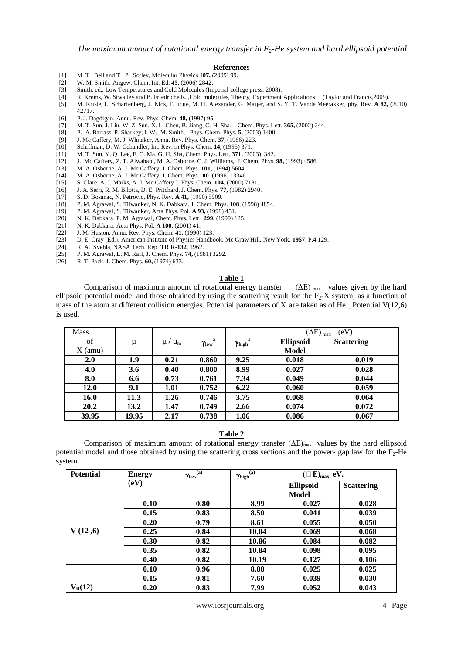#### **References**

- [1] M. T. Bell and T. P. Sotley, Molecular Physics **107,** (2009) 99.
- [2] W. M. Smith, Angew. Chem. Int. Ed. **45,** (2006) 2842.
- Smith, ed., Low Temperatures and Cold Molecules (Imperial college press, 2008).
- [4] R. Krems, W. Stwalley and B. Friedricheds. ,Cold molecules, Theory, Experiment Applications (Taylor and Francis,2009).
- [5] M. Kriste, L. Scharfenberg, J. Klos, F. lique, M. H. Alexander, G. Maijer, and S. Y. T. Vande Meerakker, phy. Rev. **A 82,** (2010) 42717.
- [6] P. J. Dagdigan, Annu. Rev. Phys. Chem. **48,** (1997) 95.
- [7] M. T. Sun, J. Liu, W. Z. Sun, X. L. Chen, B. Jiang, G. H. Sha, Chem. Phys. Lett. **365,** (2002) 244.
- [8] P. A. Barrass, P. Sharkey, I. W. M. Smith, Phys. Chem. Phys. **5,** (2003) 1400.
- [9] J. Mc Caffery, M. J. Whitaker, Annu. Rev. Phys. Chem. **37,** (1986) 223.
- [10] Schiffman, D. W. Cchandler, Int. Rev. in Phys. Chem. **14,** (1995) 371.
- [11] M. T. Sun, Y. Q. Lee, F. C. Ma, G. H. Sha, Chem. Phys. Lett. **371,** (2003) 342.
- [12] J. Mc Caffery, Z. T. Alwahabi, M. A. Osborne, C. J. Williams, J. Chem. Phys. **98,** (1993) 4586.
- [13] M. A. Osborne, A. J. Mc Caffery, J. Chem. Phys. **101,** (1994) 5604.
- [14] M. A. Osborne, A. J. Mc Caffery, J. Chem. Phys.**100** ,(1996) 13346.
- [15] S. Clare, A. J. Marks, A. J. Mc Caffery J. Phys. Chem. **104,** (2000) 7181.
- [16] J. A. Serri, R. M. Bilotta, D. E. Pritchard, J. Chem. Phys. **77,** (1982) 2940.
- [17] S. D. Bosanac, N. Petrovic, Phys. Rev. **A 41,** (1990) 5909.
- [18] P. M. Agrawal, S. Tilwanker, N. K. Dabkara, J. Chem. Phys. **108**, (1998) 4854.
- [19] P. M. Agrawal, S. Tilwanker, Acta Phys. Pol. **A 93,** (1998) 451.
- [20] N. K. Dabkara, P. M. Agrawal, Chem. Phys. Lett. **299,** (1999) 125.
- [21] N. K. Dabkara, Acta Phys. Pol. **A 100,** (2001) 41.
- [22] J. M. Huston, Annu. Rev. Phys. Chem. **41,** (1990) 123.
- [23] D. E. Gray (Ed.), American Institute of Physics Handbook, Mc Graw Hill, New York, **1957**, P.4.129.
- [24] R. A. Svehla, NASA Tech. Rep. **TR R-132**, 1962.
- [25] P. M. Agrawal, L. M. Raff, J. Chem. Phys. **74,** (1981) 3292.
- [26] R. T. Pack, J. Chem. Phys. **60,** (1974) 633.

#### **Table 1**

Comparison of maximum amount of rotational energy transfer  $(\Delta E)_{\text{max}}$  values given by the hard ellipsoid potential model and those obtained by using the scattering result for the  $F_2$ -X system, as a function of mass of the atom at different collision energies. Potential parameters of X are taken as of He Potential  $V(12,6)$ is used.

| <b>Mass</b> |       |                       |                         |            | $(\Delta E)_{max}$<br>(eV) |                   |  |
|-------------|-------|-----------------------|-------------------------|------------|----------------------------|-------------------|--|
| of          | μ     | $\mu$ / $\mu_{\rm m}$ | a<br>$\gamma_{\rm low}$ | a<br>Yhigh | <b>Ellipsoid</b>           | <b>Scattering</b> |  |
| $X$ (amu)   |       |                       |                         |            | <b>Model</b>               |                   |  |
| 2.0         | 1.9   | 0.21                  | 0.860                   | 9.25       | 0.018                      | 0.019             |  |
| 4.0         | 3.6   | 0.40                  | 0.800                   | 8.99       | 0.027                      | 0.028             |  |
| 8.0         | 6.6   | 0.73                  | 0.761                   | 7.34       | 0.049                      | 0.044             |  |
| 12.0        | 9.1   | 1.01                  | 0.752                   | 6.22       | 0.060                      | 0.059             |  |
| 16.0        | 11.3  | 1.26                  | 0.746                   | 3.75       | 0.068                      | 0.064             |  |
| 20.2        | 13.2  | 1.47                  | 0.749                   | 2.66       | 0.074                      | 0.072             |  |
| 39.95       | 19.95 | 2.17                  | 0.738                   | 1.06       | 0.086                      | 0.067             |  |

#### **Table 2**

Comparison of maximum amount of rotational energy transfer  $(\Delta E)_{max}$  values by the hard ellipsoid potential model and those obtained by using the scattering cross sections and the power- gap law for the F2-He system.

| <b>Potential</b> | <b>Energy</b> | $\gamma_{\rm low}{}^{(\rm a)}$ | $\gamma_{high}{}^{(a)}$ | $(\Box E)_{\text{max}}$ eV. |                   |
|------------------|---------------|--------------------------------|-------------------------|-----------------------------|-------------------|
|                  | (eV)          |                                |                         | <b>Ellipsoid</b>            | <b>Scattering</b> |
|                  |               |                                |                         | <b>Model</b>                |                   |
|                  | 0.10          | 0.80                           | 8.99                    | 0.027                       | 0.028             |
|                  | 0.15          | 0.83                           | 8.50                    | 0.041                       | 0.039             |
|                  | 0.20          | 0.79                           | 8.61                    | 0.055                       | 0.050             |
| V(12,6)          | 0.25          | 0.84                           | 10.04                   | 0.069                       | 0.068             |
|                  | 0.30          | 0.82                           | 10.86                   | 0.084                       | 0.082             |
|                  | 0.35          | 0.82                           | 10.84                   | 0.098                       | 0.095             |
|                  | 0.40          | 0.82                           | 10.19                   | 0.127                       | 0.106             |
|                  | 0.10          | 0.96                           | 8.88                    | 0.025                       | 0.025             |
|                  | 0.15          | 0.81                           | 7.60                    | 0.039                       | 0.030             |
| $V_R(12)$        | 0.20          | 0.83                           | 7.99                    | 0.052                       | 0.043             |